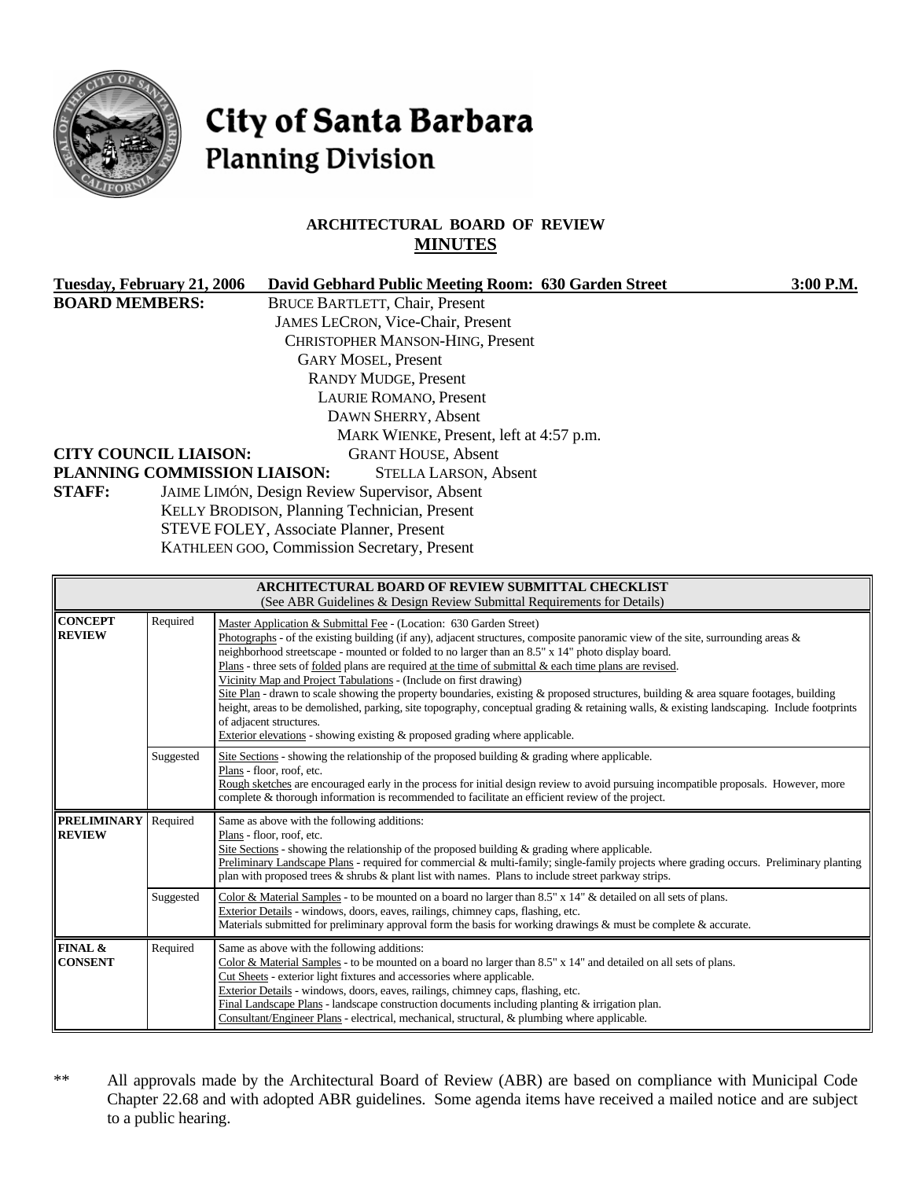

# City of Santa Barbara **Planning Division**

# **ARCHITECTURAL BOARD OF REVIEW MINUTES**

|                                              | Tuesday, February 21, 2006                    | David Gebhard Public Meeting Room: 630 Garden Street | 3:00 P.M. |  |  |
|----------------------------------------------|-----------------------------------------------|------------------------------------------------------|-----------|--|--|
| <b>BOARD MEMBERS:</b>                        |                                               | <b>BRUCE BARTLETT, Chair, Present</b>                |           |  |  |
|                                              |                                               | <b>JAMES LECRON, Vice-Chair, Present</b>             |           |  |  |
|                                              |                                               | <b>CHRISTOPHER MANSON-HING, Present</b>              |           |  |  |
|                                              |                                               | <b>GARY MOSEL, Present</b>                           |           |  |  |
|                                              |                                               | <b>RANDY MUDGE, Present</b>                          |           |  |  |
|                                              | LAURIE ROMANO, Present                        |                                                      |           |  |  |
|                                              |                                               | DAWN SHERRY, Absent                                  |           |  |  |
|                                              |                                               | MARK WIENKE, Present, left at 4:57 p.m.              |           |  |  |
|                                              | <b>CITY COUNCIL LIAISON:</b>                  | <b>GRANT HOUSE, Absent</b>                           |           |  |  |
|                                              | PLANNING COMMISSION LIAISON:                  | <b>STELLA LARSON, Absent</b>                         |           |  |  |
| <b>STAFF:</b>                                | JAIME LIMÓN, Design Review Supervisor, Absent |                                                      |           |  |  |
| KELLY BRODISON, Planning Technician, Present |                                               |                                                      |           |  |  |
| STEVE FOLEY, Associate Planner, Present      |                                               |                                                      |           |  |  |
| KATHLEEN GOO, Commission Secretary, Present  |                                               |                                                      |           |  |  |
|                                              |                                               |                                                      |           |  |  |

| ARCHITECTURAL BOARD OF REVIEW SUBMITTAL CHECKLIST<br>(See ABR Guidelines & Design Review Submittal Requirements for Details) |           |                                                                                                                                                                                                                                                                                                                                                                                                                                                                                                                                                                                                                                                                                                                                                                                                                                                                                                   |  |
|------------------------------------------------------------------------------------------------------------------------------|-----------|---------------------------------------------------------------------------------------------------------------------------------------------------------------------------------------------------------------------------------------------------------------------------------------------------------------------------------------------------------------------------------------------------------------------------------------------------------------------------------------------------------------------------------------------------------------------------------------------------------------------------------------------------------------------------------------------------------------------------------------------------------------------------------------------------------------------------------------------------------------------------------------------------|--|
| <b>CONCEPT</b><br><b>REVIEW</b>                                                                                              | Required  | Master Application & Submittal Fee - (Location: 630 Garden Street)<br>Photographs - of the existing building (if any), adjacent structures, composite panoramic view of the site, surrounding areas $\&$<br>neighborhood streetscape - mounted or folded to no larger than an 8.5" x 14" photo display board.<br>Plans - three sets of folded plans are required at the time of submittal $\&$ each time plans are revised.<br>Vicinity Map and Project Tabulations - (Include on first drawing)<br>Site Plan - drawn to scale showing the property boundaries, existing & proposed structures, building & area square footages, building<br>height, areas to be demolished, parking, site topography, conceptual grading & retaining walls, & existing landscaping. Include footprints<br>of adjacent structures.<br>Exterior elevations - showing existing & proposed grading where applicable. |  |
|                                                                                                                              | Suggested | Site Sections - showing the relationship of the proposed building $\&$ grading where applicable.<br>Plans - floor, roof, etc.<br>Rough sketches are encouraged early in the process for initial design review to avoid pursuing incompatible proposals. However, more<br>complete & thorough information is recommended to facilitate an efficient review of the project.                                                                                                                                                                                                                                                                                                                                                                                                                                                                                                                         |  |
| <b>PRELIMINARY</b><br><b>REVIEW</b>                                                                                          | Required  | Same as above with the following additions:<br>Plans - floor, roof, etc.<br>Site Sections - showing the relationship of the proposed building $\&$ grading where applicable.<br>Preliminary Landscape Plans - required for commercial & multi-family; single-family projects where grading occurs. Preliminary planting<br>plan with proposed trees $\&$ shrubs $\&$ plant list with names. Plans to include street parkway strips.                                                                                                                                                                                                                                                                                                                                                                                                                                                               |  |
|                                                                                                                              | Suggested | Color & Material Samples - to be mounted on a board no larger than $8.5" \times 14"$ & detailed on all sets of plans.<br>Exterior Details - windows, doors, eaves, railings, chimney caps, flashing, etc.<br>Materials submitted for preliminary approval form the basis for working drawings & must be complete & accurate.                                                                                                                                                                                                                                                                                                                                                                                                                                                                                                                                                                      |  |
| FINAL &<br><b>CONSENT</b>                                                                                                    | Required  | Same as above with the following additions:<br>Color & Material Samples - to be mounted on a board no larger than 8.5" x 14" and detailed on all sets of plans.<br>Cut Sheets - exterior light fixtures and accessories where applicable.<br>Exterior Details - windows, doors, eaves, railings, chimney caps, flashing, etc.<br>Final Landscape Plans - landscape construction documents including planting $&$ irrigation plan.<br>Consultant/Engineer Plans - electrical, mechanical, structural, & plumbing where applicable.                                                                                                                                                                                                                                                                                                                                                                 |  |

\*\* All approvals made by the Architectural Board of Review (ABR) are based on compliance with Municipal Code Chapter 22.68 and with adopted ABR guidelines. Some agenda items have received a mailed notice and are subject to a public hearing.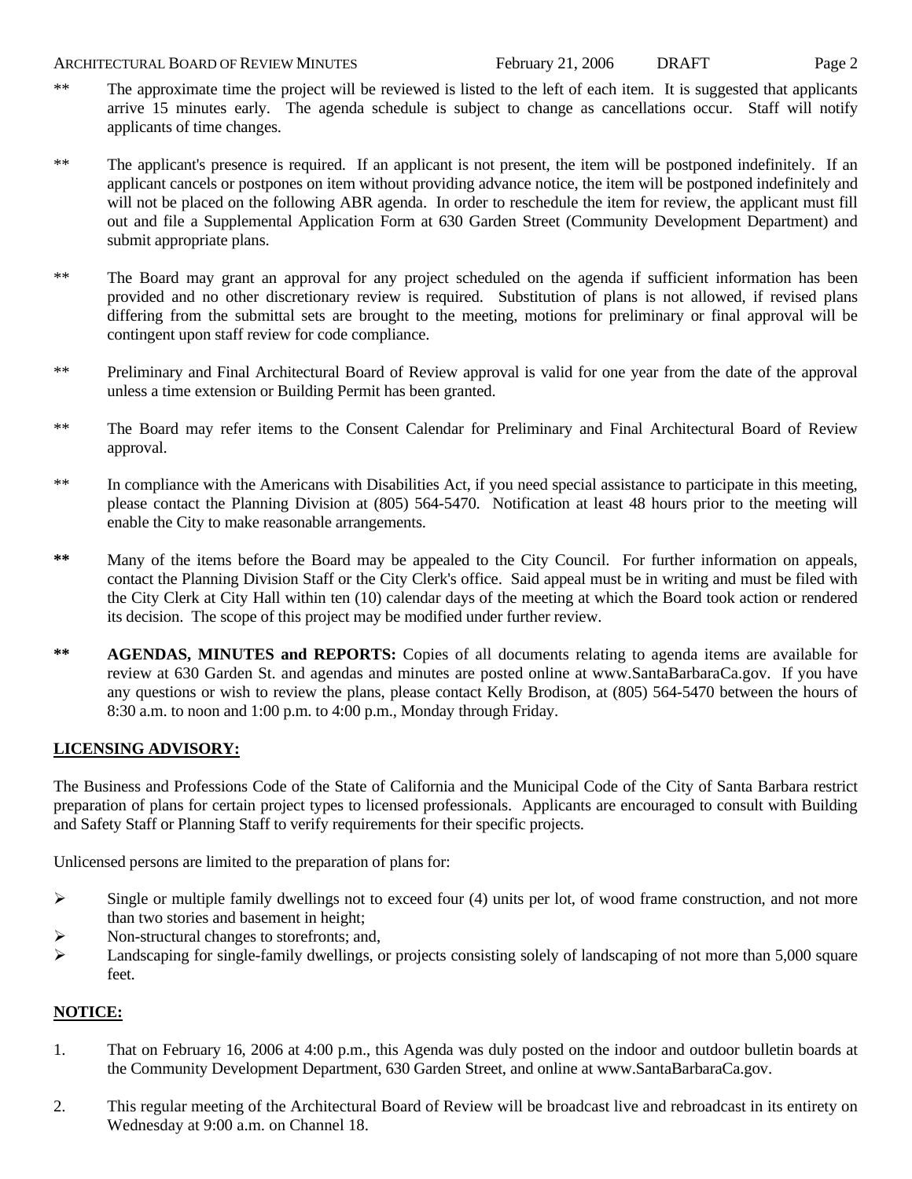#### ARCHITECTURAL BOARD OF REVIEW MINUTES February 21, 2006 DRAFT Page 2

- 
- \*\* The approximate time the project will be reviewed is listed to the left of each item. It is suggested that applicants arrive 15 minutes early. The agenda schedule is subject to change as cancellations occur. Staff will notify applicants of time changes.
- \*\* The applicant's presence is required. If an applicant is not present, the item will be postponed indefinitely. If an applicant cancels or postpones on item without providing advance notice, the item will be postponed indefinitely and will not be placed on the following ABR agenda. In order to reschedule the item for review, the applicant must fill out and file a Supplemental Application Form at 630 Garden Street (Community Development Department) and submit appropriate plans.
- \*\* The Board may grant an approval for any project scheduled on the agenda if sufficient information has been provided and no other discretionary review is required. Substitution of plans is not allowed, if revised plans differing from the submittal sets are brought to the meeting, motions for preliminary or final approval will be contingent upon staff review for code compliance.
- \*\* Preliminary and Final Architectural Board of Review approval is valid for one year from the date of the approval unless a time extension or Building Permit has been granted.
- \*\* The Board may refer items to the Consent Calendar for Preliminary and Final Architectural Board of Review approval.
- \*\* In compliance with the Americans with Disabilities Act, if you need special assistance to participate in this meeting, please contact the Planning Division at (805) 564-5470. Notification at least 48 hours prior to the meeting will enable the City to make reasonable arrangements.
- **\*\*** Many of the items before the Board may be appealed to the City Council. For further information on appeals, contact the Planning Division Staff or the City Clerk's office. Said appeal must be in writing and must be filed with the City Clerk at City Hall within ten (10) calendar days of the meeting at which the Board took action or rendered its decision. The scope of this project may be modified under further review.
- \*\* AGENDAS, MINUTES and REPORTS: Copies of all documents relating to agenda items are available for review at 630 Garden St. and agendas and minutes are posted online at [www.SantaBarbaraCa.gov](http://www.santabarbaraca.gov/). If you have any questions or wish to review the plans, please contact Kelly Brodison, at (805) 564-5470 between the hours of 8:30 a.m. to noon and 1:00 p.m. to 4:00 p.m., Monday through Friday.

#### **LICENSING ADVISORY:**

The Business and Professions Code of the State of California and the Municipal Code of the City of Santa Barbara restrict preparation of plans for certain project types to licensed professionals. Applicants are encouraged to consult with Building and Safety Staff or Planning Staff to verify requirements for their specific projects.

Unlicensed persons are limited to the preparation of plans for:

- $\triangleright$  Single or multiple family dwellings not to exceed four (4) units per lot, of wood frame construction, and not more than two stories and basement in height;
- ¾ Non-structural changes to storefronts; and,
- $\blacktriangleright$  Landscaping for single-family dwellings, or projects consisting solely of landscaping of not more than 5,000 square feet.

#### **NOTICE:**

- 1. That on February 16, 2006 at 4:00 p.m., this Agenda was duly posted on the indoor and outdoor bulletin boards at the Community Development Department, 630 Garden Street, and online at www.SantaBarbaraCa.gov.
- 2. This regular meeting of the Architectural Board of Review will be broadcast live and rebroadcast in its entirety on Wednesday at 9:00 a.m. on Channel 18.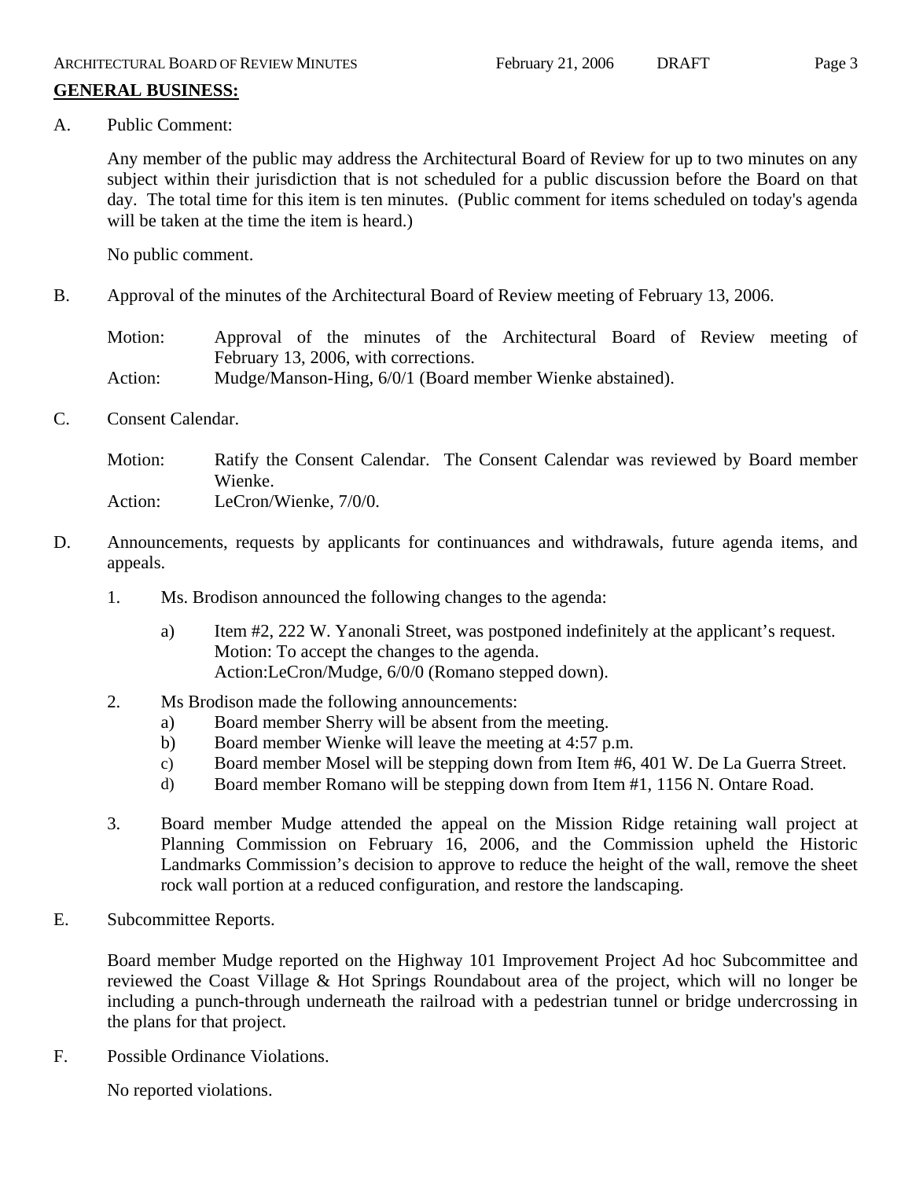# **GENERAL BUSINESS:**

A. Public Comment:

Any member of the public may address the Architectural Board of Review for up to two minutes on any subject within their jurisdiction that is not scheduled for a public discussion before the Board on that day. The total time for this item is ten minutes. (Public comment for items scheduled on today's agenda will be taken at the time the item is heard.)

No public comment.

B. Approval of the minutes of the Architectural Board of Review meeting of February 13, 2006.

Motion: Approval of the minutes of the Architectural Board of Review meeting of February 13, 2006, with corrections.

- Action: Mudge/Manson-Hing, 6/0/1 (Board member Wienke abstained).
- C. Consent Calendar.

Motion: Ratify the Consent Calendar. The Consent Calendar was reviewed by Board member Wienke. Action: LeCron/Wienke,  $7/0/0$ .

- D. Announcements, requests by applicants for continuances and withdrawals, future agenda items, and appeals.
	- 1. Ms. Brodison announced the following changes to the agenda:
		- a) Item #2, 222 W. Yanonali Street, was postponed indefinitely at the applicant's request. Motion: To accept the changes to the agenda. Action:LeCron/Mudge, 6/0/0 (Romano stepped down).
	- 2. Ms Brodison made the following announcements:
		- a) Board member Sherry will be absent from the meeting.
		- b) Board member Wienke will leave the meeting at 4:57 p.m.
		- c) Board member Mosel will be stepping down from Item #6, 401 W. De La Guerra Street.
		- d) Board member Romano will be stepping down from Item #1, 1156 N. Ontare Road.
	- 3. Board member Mudge attended the appeal on the Mission Ridge retaining wall project at Planning Commission on February 16, 2006, and the Commission upheld the Historic Landmarks Commission's decision to approve to reduce the height of the wall, remove the sheet rock wall portion at a reduced configuration, and restore the landscaping.
- E. Subcommittee Reports.

Board member Mudge reported on the Highway 101 Improvement Project Ad hoc Subcommittee and reviewed the Coast Village & Hot Springs Roundabout area of the project, which will no longer be including a punch-through underneath the railroad with a pedestrian tunnel or bridge undercrossing in the plans for that project.

F. Possible Ordinance Violations.

No reported violations.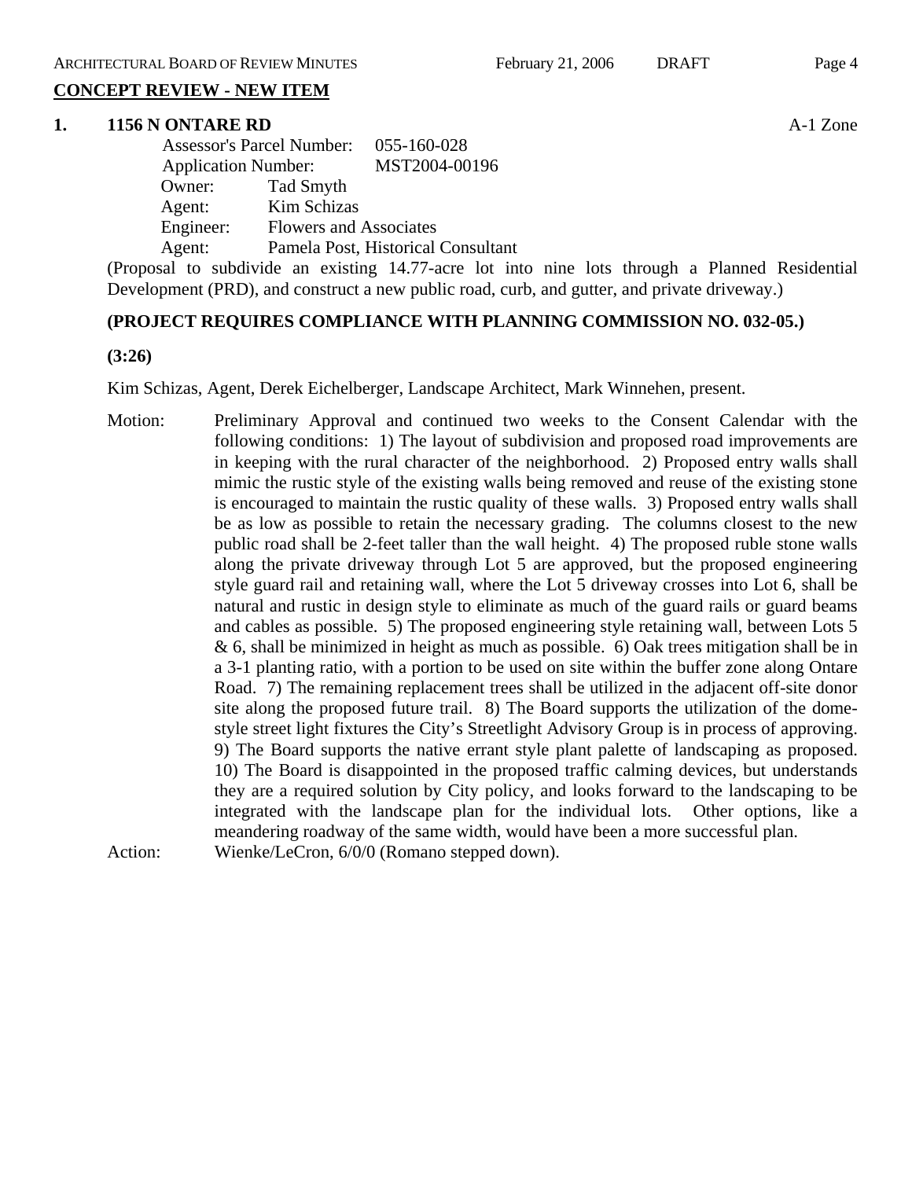# **CONCEPT REVIEW - NEW ITEM**

#### **1. 1156 N ONTARE RD** A-1 Zone

| <b>Assessor's Parcel Number:</b> |                               | 055-160-028                        |
|----------------------------------|-------------------------------|------------------------------------|
| <b>Application Number:</b>       |                               | MST2004-00196                      |
| Owner:                           | Tad Smyth                     |                                    |
| Agent:                           | Kim Schizas                   |                                    |
| Engineer:                        | <b>Flowers and Associates</b> |                                    |
| Agent:                           |                               | Pamela Post, Historical Consultant |

(Proposal to subdivide an existing 14.77-acre lot into nine lots through a Planned Residential Development (PRD), and construct a new public road, curb, and gutter, and private driveway.)

#### **(PROJECT REQUIRES COMPLIANCE WITH PLANNING COMMISSION NO. 032-05.)**

#### **(3:26)**

Kim Schizas, Agent, Derek Eichelberger, Landscape Architect, Mark Winnehen, present.

Motion: Preliminary Approval and continued two weeks to the Consent Calendar with the following conditions: 1) The layout of subdivision and proposed road improvements are in keeping with the rural character of the neighborhood. 2) Proposed entry walls shall mimic the rustic style of the existing walls being removed and reuse of the existing stone is encouraged to maintain the rustic quality of these walls. 3) Proposed entry walls shall be as low as possible to retain the necessary grading. The columns closest to the new public road shall be 2-feet taller than the wall height. 4) The proposed ruble stone walls along the private driveway through Lot 5 are approved, but the proposed engineering style guard rail and retaining wall, where the Lot 5 driveway crosses into Lot 6, shall be natural and rustic in design style to eliminate as much of the guard rails or guard beams and cables as possible. 5) The proposed engineering style retaining wall, between Lots 5 & 6, shall be minimized in height as much as possible. 6) Oak trees mitigation shall be in a 3-1 planting ratio, with a portion to be used on site within the buffer zone along Ontare Road. 7) The remaining replacement trees shall be utilized in the adjacent off-site donor site along the proposed future trail. 8) The Board supports the utilization of the domestyle street light fixtures the City's Streetlight Advisory Group is in process of approving. 9) The Board supports the native errant style plant palette of landscaping as proposed. 10) The Board is disappointed in the proposed traffic calming devices, but understands they are a required solution by City policy, and looks forward to the landscaping to be integrated with the landscape plan for the individual lots. Other options, like a meandering roadway of the same width, would have been a more successful plan. Action: Wienke/LeCron, 6/0/0 (Romano stepped down).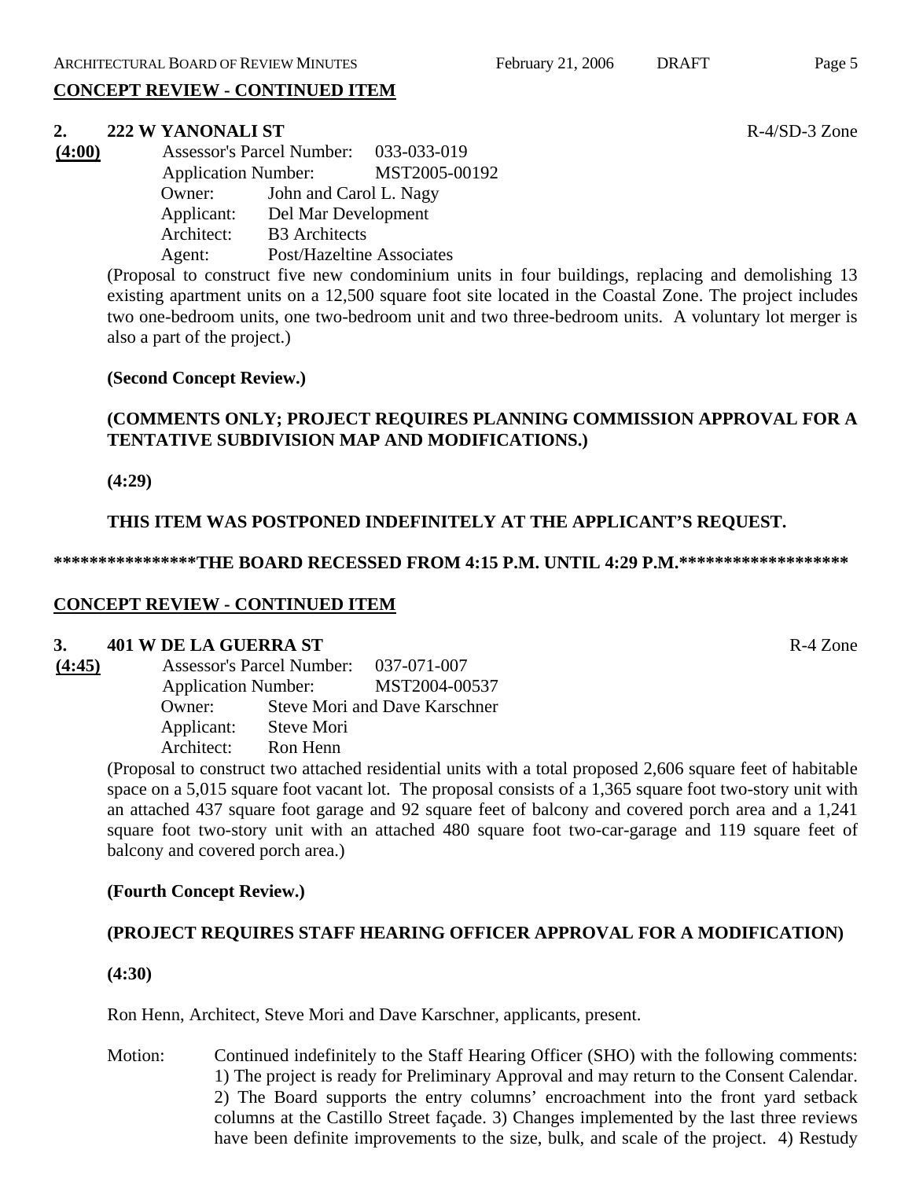# **CONCEPT REVIEW - CONTINUED ITEM**

#### **2. 222 W YANONALI ST R-4/SD-3** Zone

| (4:00) |            | <b>Assessor's Parcel Number:</b> | 033-033-019 |
|--------|------------|----------------------------------|-------------|
|        |            | <b>Application Number:</b>       |             |
|        | Owner:     | John and Carol L. Nagy           |             |
|        | Applicant: | Del Mar Development              |             |
|        | Architect: | <b>B3</b> Architects             |             |
|        | Agent:     | Post/Hazeltine Associates        |             |

(Proposal to construct five new condominium units in four buildings, replacing and demolishing 13 existing apartment units on a 12,500 square foot site located in the Coastal Zone. The project includes two one-bedroom units, one two-bedroom unit and two three-bedroom units. A voluntary lot merger is also a part of the project.)

#### **(Second Concept Review.)**

# **(COMMENTS ONLY; PROJECT REQUIRES PLANNING COMMISSION APPROVAL FOR A TENTATIVE SUBDIVISION MAP AND MODIFICATIONS.)**

**(4:29)**

#### **THIS ITEM WAS POSTPONED INDEFINITELY AT THE APPLICANT'S REQUEST.**

#### **\*\*\*\*\*\*\*\*\*\*\*\*\*\*\*\*THE BOARD RECESSED FROM 4:15 P.M. UNTIL 4:29 P.M.\*\*\*\*\*\*\*\*\*\*\*\*\*\*\*\*\*\*\***

#### **CONCEPT REVIEW - CONTINUED ITEM**

#### **3. 401 W DE LA GUERRA ST** R-4 Zone

**(4:45)** Assessor's Parcel Number: 037-071-007 Application Number: MST2004-00537 Owner: Steve Mori and Dave Karschner Applicant: Steve Mori Architect: Ron Henn

(Proposal to construct two attached residential units with a total proposed 2,606 square feet of habitable space on a 5,015 square foot vacant lot. The proposal consists of a 1,365 square foot two-story unit with an attached 437 square foot garage and 92 square feet of balcony and covered porch area and a 1,241 square foot two-story unit with an attached 480 square foot two-car-garage and 119 square feet of balcony and covered porch area.)

#### **(Fourth Concept Review.)**

# **(PROJECT REQUIRES STAFF HEARING OFFICER APPROVAL FOR A MODIFICATION)**

**(4:30)**

Ron Henn, Architect, Steve Mori and Dave Karschner, applicants, present.

Motion: Continued indefinitely to the Staff Hearing Officer (SHO) with the following comments: 1) The project is ready for Preliminary Approval and may return to the Consent Calendar. 2) The Board supports the entry columns' encroachment into the front yard setback columns at the Castillo Street façade. 3) Changes implemented by the last three reviews have been definite improvements to the size, bulk, and scale of the project. 4) Restudy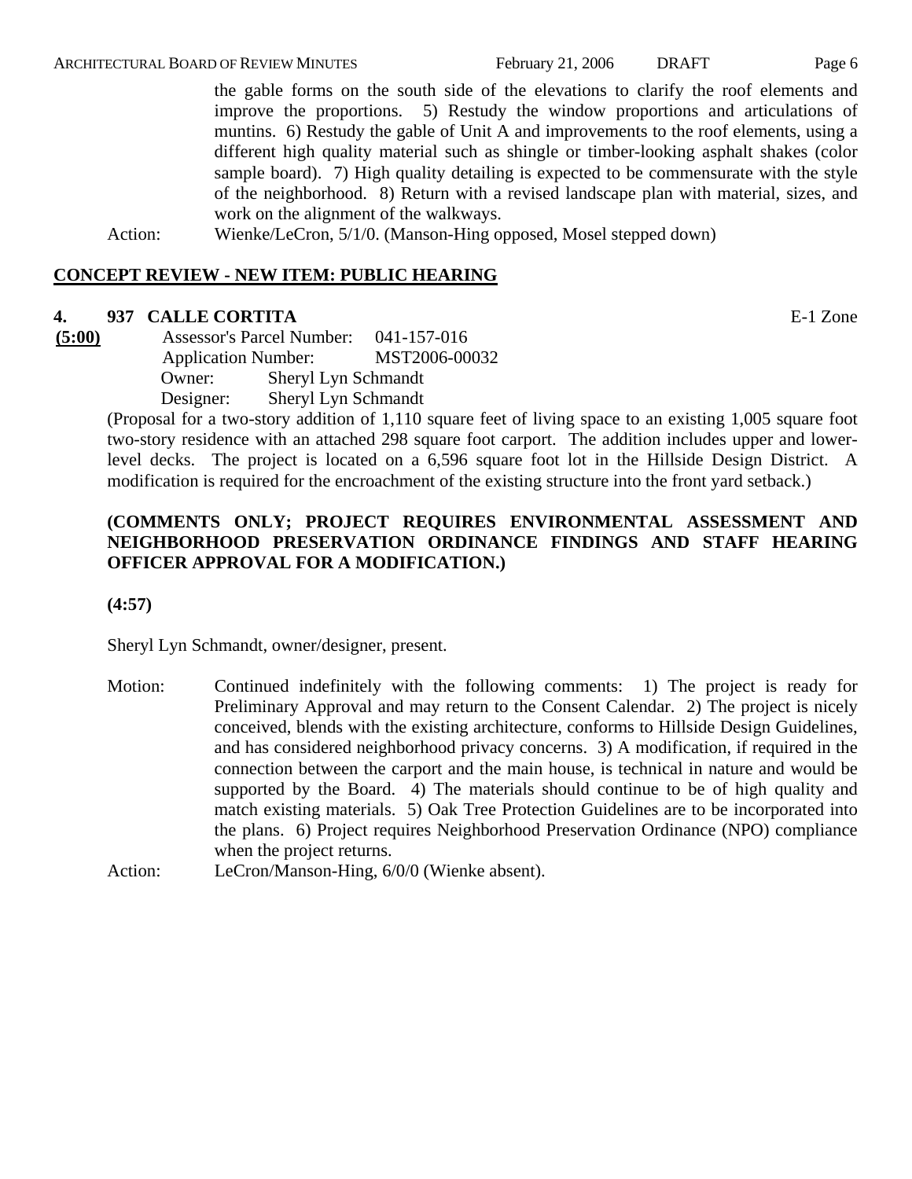the gable forms on the south side of the elevations to clarify the roof elements and improve the proportions. 5) Restudy the window proportions and articulations of muntins. 6) Restudy the gable of Unit A and improvements to the roof elements, using a different high quality material such as shingle or timber-looking asphalt shakes (color sample board). 7) High quality detailing is expected to be commensurate with the style of the neighborhood. 8) Return with a revised landscape plan with material, sizes, and work on the alignment of the walkways.

Action: Wienke/LeCron, 5/1/0. (Manson-Hing opposed, Mosel stepped down)

#### **CONCEPT REVIEW - NEW ITEM: PUBLIC HEARING**

#### **4. 937 CALLE CORTITA** E-1 Zone

**(5:00)** Assessor's Parcel Number: 041-157-016 Application Number: MST2006-00032 Owner: Sheryl Lyn Schmandt Designer: Sheryl Lyn Schmandt

(Proposal for a two-story addition of 1,110 square feet of living space to an existing 1,005 square foot two-story residence with an attached 298 square foot carport. The addition includes upper and lowerlevel decks. The project is located on a 6,596 square foot lot in the Hillside Design District. A modification is required for the encroachment of the existing structure into the front yard setback.)

## **(COMMENTS ONLY; PROJECT REQUIRES ENVIRONMENTAL ASSESSMENT AND NEIGHBORHOOD PRESERVATION ORDINANCE FINDINGS AND STAFF HEARING OFFICER APPROVAL FOR A MODIFICATION.)**

**(4:57)**

Sheryl Lyn Schmandt, owner/designer, present.

- Motion: Continued indefinitely with the following comments: 1) The project is ready for Preliminary Approval and may return to the Consent Calendar. 2) The project is nicely conceived, blends with the existing architecture, conforms to Hillside Design Guidelines, and has considered neighborhood privacy concerns. 3) A modification, if required in the connection between the carport and the main house, is technical in nature and would be supported by the Board. 4) The materials should continue to be of high quality and match existing materials. 5) Oak Tree Protection Guidelines are to be incorporated into the plans. 6) Project requires Neighborhood Preservation Ordinance (NPO) compliance when the project returns.
- Action: LeCron/Manson-Hing, 6/0/0 (Wienke absent).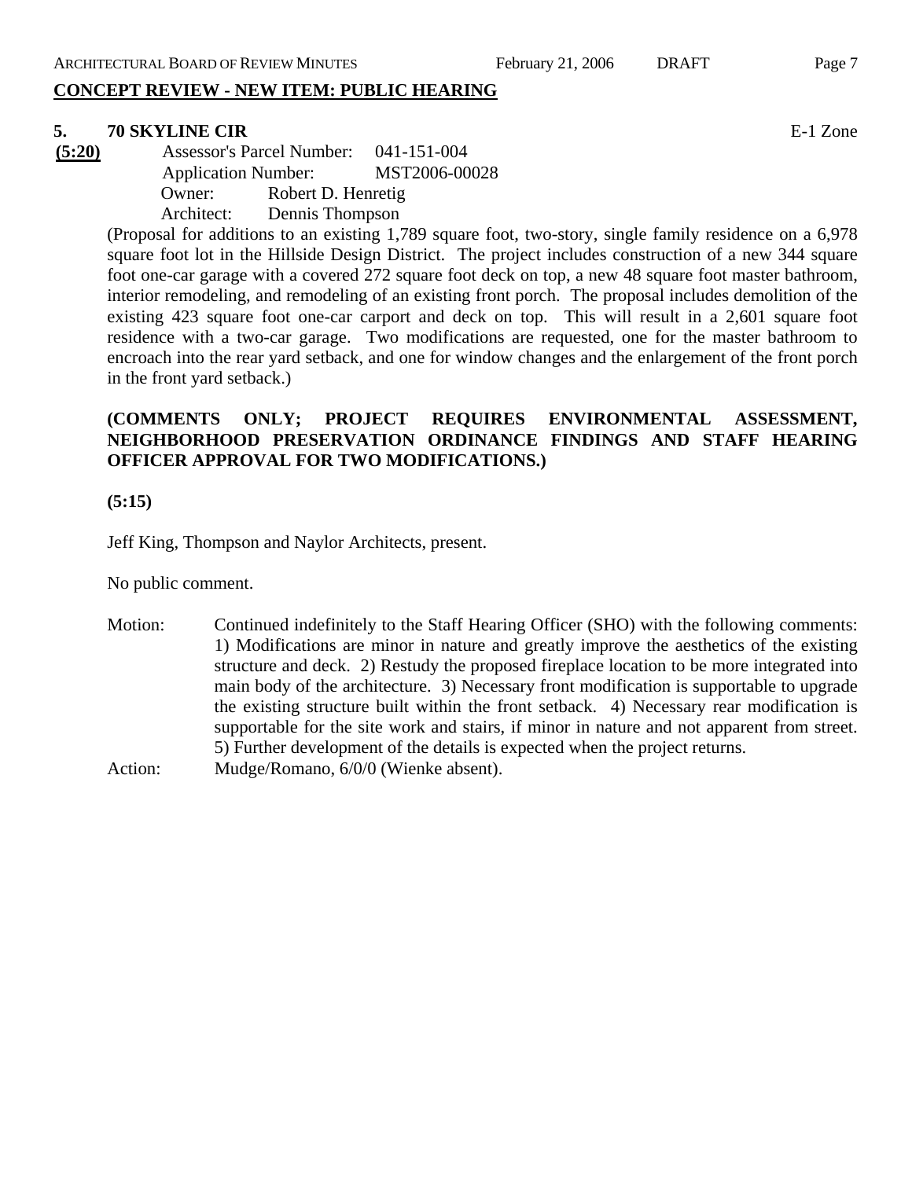# **CONCEPT REVIEW - NEW ITEM: PUBLIC HEARING**

# **5. 70 SKYLINE CIR** E-1 Zone

**(5:20)** Assessor's Parcel Number: 041-151-004 Application Number: MST2006-00028 Owner: Robert D. Henretig Architect: Dennis Thompson

(Proposal for additions to an existing 1,789 square foot, two-story, single family residence on a 6,978 square foot lot in the Hillside Design District. The project includes construction of a new 344 square foot one-car garage with a covered 272 square foot deck on top, a new 48 square foot master bathroom, interior remodeling, and remodeling of an existing front porch. The proposal includes demolition of the existing 423 square foot one-car carport and deck on top. This will result in a 2,601 square foot residence with a two-car garage. Two modifications are requested, one for the master bathroom to encroach into the rear yard setback, and one for window changes and the enlargement of the front porch in the front yard setback.)

# **(COMMENTS ONLY; PROJECT REQUIRES ENVIRONMENTAL ASSESSMENT, NEIGHBORHOOD PRESERVATION ORDINANCE FINDINGS AND STAFF HEARING OFFICER APPROVAL FOR TWO MODIFICATIONS.)**

#### **(5:15)**

Jeff King, Thompson and Naylor Architects, present.

No public comment.

- Motion: Continued indefinitely to the Staff Hearing Officer (SHO) with the following comments: 1) Modifications are minor in nature and greatly improve the aesthetics of the existing structure and deck. 2) Restudy the proposed fireplace location to be more integrated into main body of the architecture. 3) Necessary front modification is supportable to upgrade the existing structure built within the front setback. 4) Necessary rear modification is supportable for the site work and stairs, if minor in nature and not apparent from street. 5) Further development of the details is expected when the project returns.
- Action: Mudge/Romano, 6/0/0 (Wienke absent).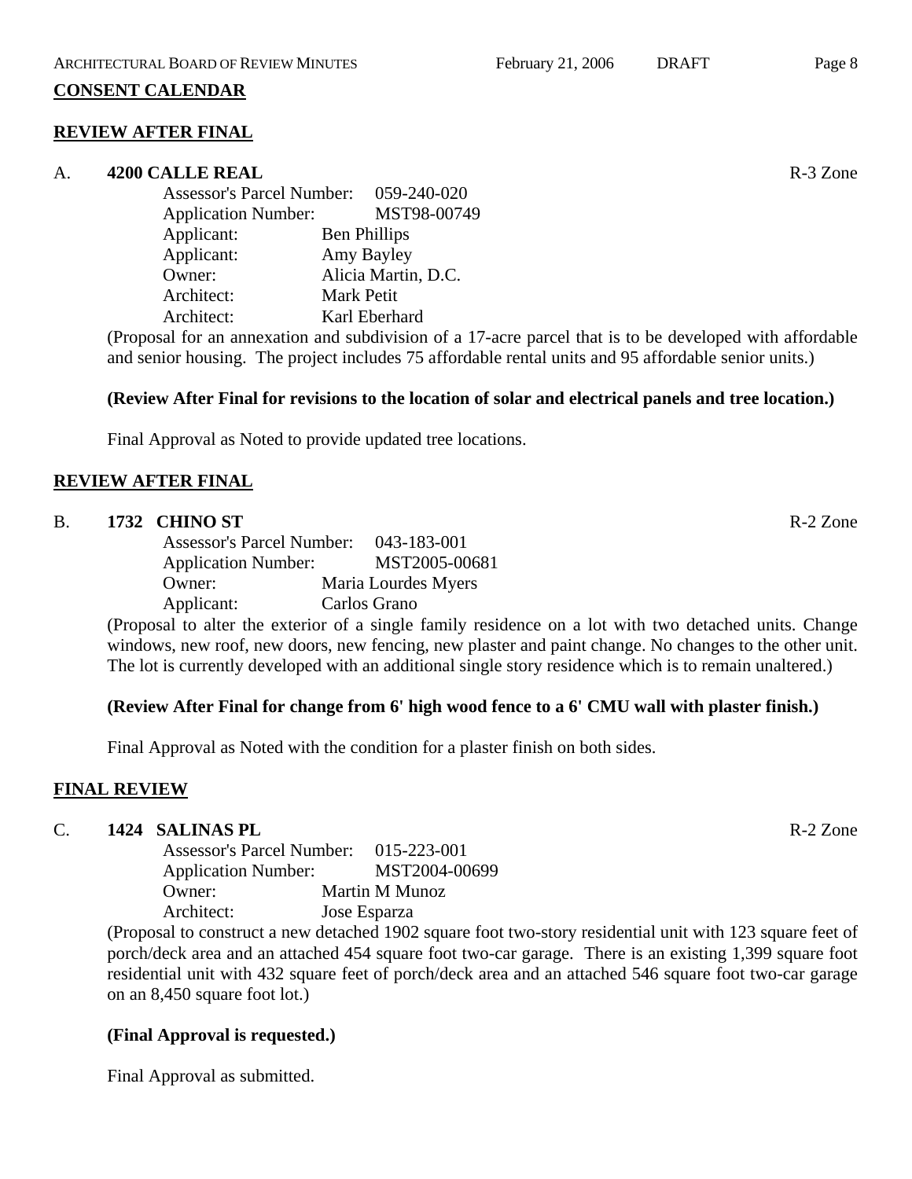#### **CONSENT CALENDAR**

#### **REVIEW AFTER FINAL**

#### A. **4200 CALLE REAL Real Allied Executive Section 2.5 A.** 3 Zone

| Assessor's Parcel Number: 059-240-020 |                     |                     |
|---------------------------------------|---------------------|---------------------|
| <b>Application Number:</b>            |                     | MST98-00749         |
| Applicant:                            | <b>Ben Phillips</b> |                     |
| Applicant:                            | Amy Bayley          |                     |
| Owner:                                |                     | Alicia Martin, D.C. |
| Architect:                            | <b>Mark Petit</b>   |                     |
| Architect:                            | Karl Eberhard       |                     |
|                                       |                     |                     |

(Proposal for an annexation and subdivision of a 17-acre parcel that is to be developed with affordable and senior housing. The project includes 75 affordable rental units and 95 affordable senior units.)

#### **(Review After Final for revisions to the location of solar and electrical panels and tree location.)**

Final Approval as Noted to provide updated tree locations.

#### **REVIEW AFTER FINAL**

#### B. **1732 CHINO ST** R-2 Zone

Assessor's Parcel Number: 043-183-001 Application Number: MST2005-00681 Owner: Maria Lourdes Myers Applicant: Carlos Grano

(Proposal to alter the exterior of a single family residence on a lot with two detached units. Change windows, new roof, new doors, new fencing, new plaster and paint change. No changes to the other unit. The lot is currently developed with an additional single story residence which is to remain unaltered.)

#### **(Review After Final for change from 6' high wood fence to a 6' CMU wall with plaster finish.)**

Final Approval as Noted with the condition for a plaster finish on both sides.

#### **FINAL REVIEW**

#### C. **1424 SALINAS PL** R-2 Zone

| <b>Assessor's Parcel Number:</b> | 015-223-001    |
|----------------------------------|----------------|
| <b>Application Number:</b>       | MST2004-00699  |
| Owner:                           | Martin M Munoz |
| Architect:                       | Jose Esparza   |

(Proposal to construct a new detached 1902 square foot two-story residential unit with 123 square feet of porch/deck area and an attached 454 square foot two-car garage. There is an existing 1,399 square foot residential unit with 432 square feet of porch/deck area and an attached 546 square foot two-car garage on an 8,450 square foot lot.)

#### **(Final Approval is requested.)**

Final Approval as submitted.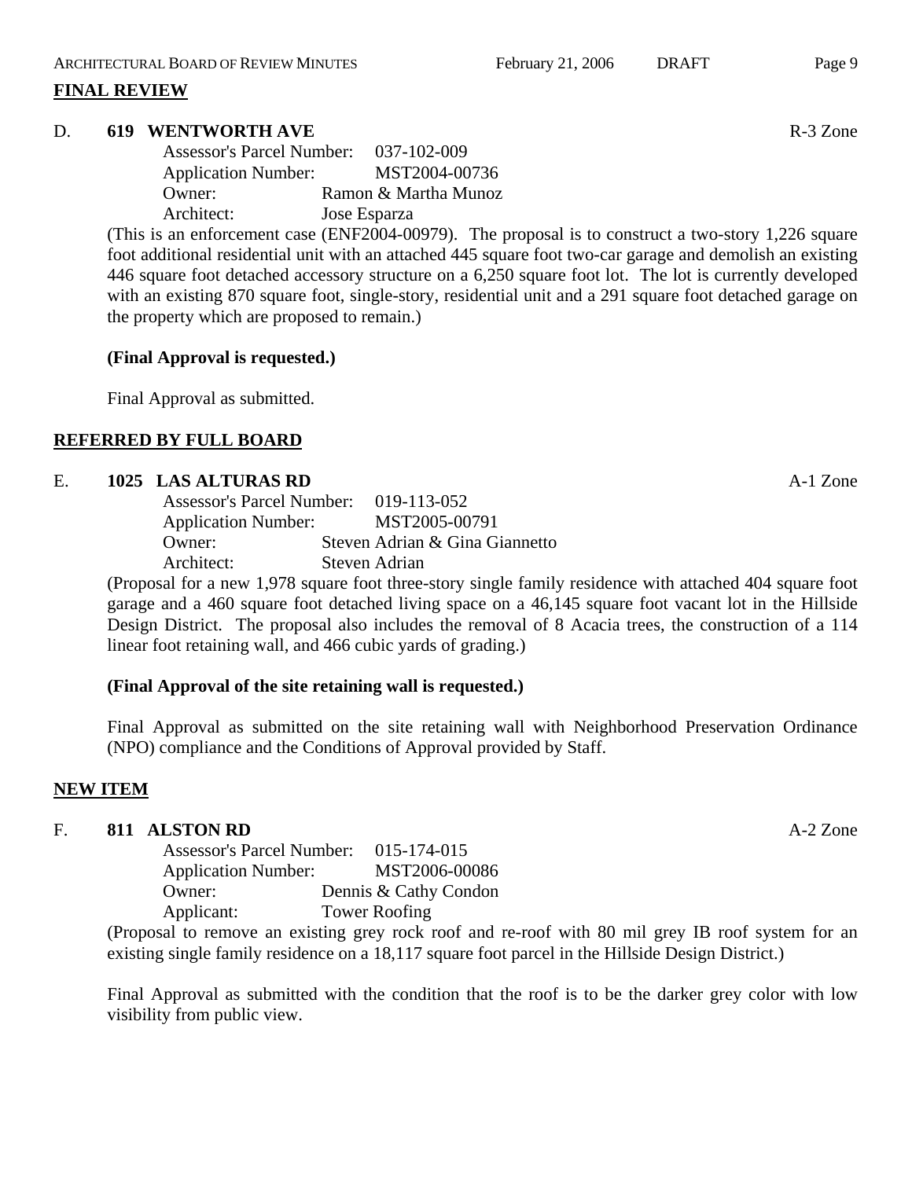#### **FINAL REVIEW**

#### D. **619 WENTWORTH AVE** R-3 Zone

| <b>Assessor's Parcel Number:</b><br>037-102-009 |
|-------------------------------------------------|
| MST2004-00736<br><b>Application Number:</b>     |
| Ramon & Martha Munoz                            |
| Jose Esparza                                    |
|                                                 |

(This is an enforcement case (ENF2004-00979). The proposal is to construct a two-story 1,226 square foot additional residential unit with an attached 445 square foot two-car garage and demolish an existing 446 square foot detached accessory structure on a 6,250 square foot lot. The lot is currently developed with an existing 870 square foot, single-story, residential unit and a 291 square foot detached garage on the property which are proposed to remain.)

#### **(Final Approval is requested.)**

Final Approval as submitted.

## **REFERRED BY FULL BOARD**

#### E. **1025 LAS ALTURAS RD A-1 Zone**

| Assessor's Parcel Number: 019-113-052 |               |                                |
|---------------------------------------|---------------|--------------------------------|
| <b>Application Number:</b>            |               | MST2005-00791                  |
| Owner:                                |               | Steven Adrian & Gina Giannetto |
| Architect:                            | Steven Adrian |                                |

(Proposal for a new 1,978 square foot three-story single family residence with attached 404 square foot garage and a 460 square foot detached living space on a 46,145 square foot vacant lot in the Hillside Design District. The proposal also includes the removal of 8 Acacia trees, the construction of a 114 linear foot retaining wall, and 466 cubic yards of grading.)

#### **(Final Approval of the site retaining wall is requested.)**

Final Approval as submitted on the site retaining wall with Neighborhood Preservation Ordinance (NPO) compliance and the Conditions of Approval provided by Staff.

#### **NEW ITEM**

#### F. **811 ALSTON RD** A-2 Zone

| <b>Assessor's Parcel Number:</b> | 015-174-015           |
|----------------------------------|-----------------------|
| <b>Application Number:</b>       | MST2006-00086         |
| Owner:                           | Dennis & Cathy Condon |
| Applicant:                       | <b>Tower Roofing</b>  |

(Proposal to remove an existing grey rock roof and re-roof with 80 mil grey IB roof system for an existing single family residence on a 18,117 square foot parcel in the Hillside Design District.)

Final Approval as submitted with the condition that the roof is to be the darker grey color with low visibility from public view.